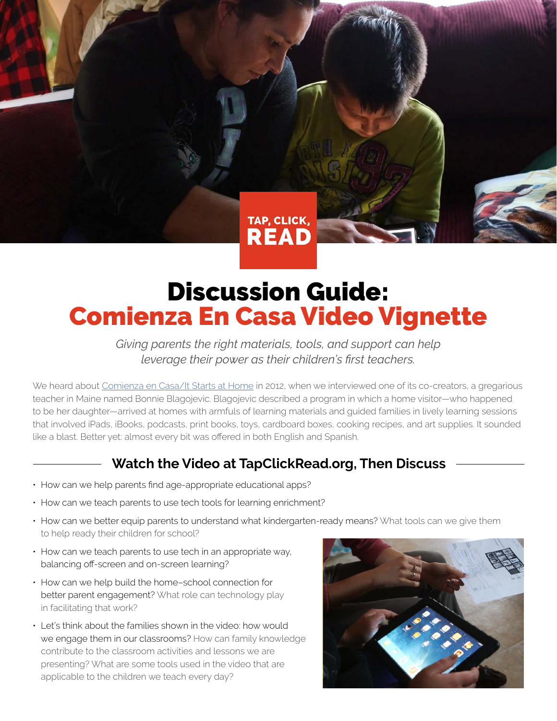TAP, CLICK, **READ** 

## Discussion Guide: Comienza En Casa Video Vignette

*Giving parents the right materials, tools, and support can help leverage their power as their children's first teachers.*

We heard about [Comienza en Casa/It Starts at Home](https://vimeo.com/130581986) in 2012, when we interviewed one of its co-creators, a gregarious teacher in Maine named Bonnie Blagojevic. Blagojevic described a program in which a home visitor—who happened to be her daughter—arrived at homes with armfuls of learning materials and guided families in lively learning sessions that involved iPads, iBooks, podcasts, print books, toys, cardboard boxes, cooking recipes, and art supplies. It sounded like a blast. Better yet: almost every bit was offered in both English and Spanish.

### **Watch the Video at TapClickRead.org, Then Discuss**

- How can we help parents find age-appropriate educational apps?
- How can we teach parents to use tech tools for learning enrichment?
- How can we better equip parents to understand what kindergarten-ready means? What tools can we give them to help ready their children for school?
- How can we teach parents to use tech in an appropriate way, balancing off-screen and on-screen learning?
- How can we help build the home–school connection for better parent engagement? What role can technology play in facilitating that work?
- Let's think about the families shown in the video: how would we engage them in our classrooms? How can family knowledge contribute to the classroom activities and lessons we are presenting? What are some tools used in the video that are applicable to the children we teach every day?